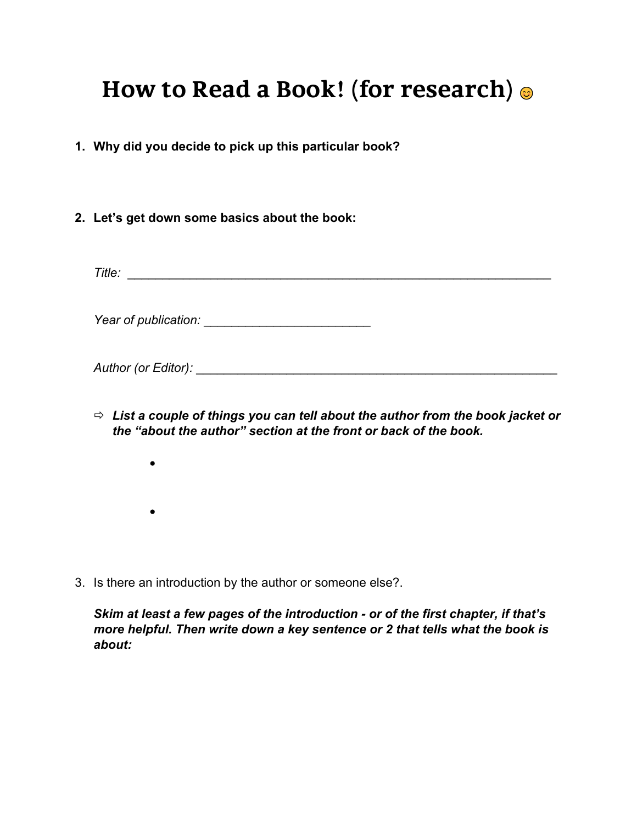# **How to Read a Book! (for research)**  $\odot$

- **1. Why did you decide to pick up this particular book?**
- **2. Let's get down some basics about the book:**

*Title:* \_\_\_\_\_\_\_\_\_\_\_\_\_\_\_\_\_\_\_\_\_\_\_\_\_\_\_\_\_\_\_\_\_\_\_\_\_\_\_\_\_\_\_\_\_\_\_\_\_\_\_\_\_\_\_\_\_\_\_\_\_

*Year of publication:* \_\_\_\_\_\_\_\_\_\_\_\_\_\_\_\_\_\_\_\_\_\_\_\_

*Author (or Editor):* \_\_\_\_\_\_\_\_\_\_\_\_\_\_\_\_\_\_\_\_\_\_\_\_\_\_\_\_\_\_\_\_\_\_\_\_\_\_\_\_\_\_\_\_\_\_\_\_\_\_\_\_

- ð *List a couple of things you can tell about the author from the book jacket or the "about the author" section at the front or back of the book.*
	- •
- 3. Is there an introduction by the author or someone else?.

*Skim at least a few pages of the introduction - or of the first chapter, if that's more helpful. Then write down a key sentence or 2 that tells what the book is about:*